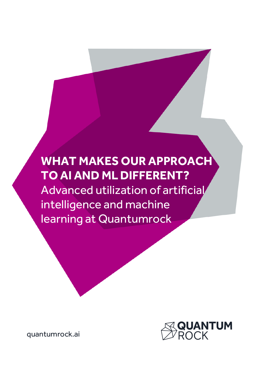# **WHAT MAKES OUR APPROACH TO AI AND ML DIFFERENT?** Advanced utilization of artificial intelligence and machine learning at Quantumrock



quantumrock.ai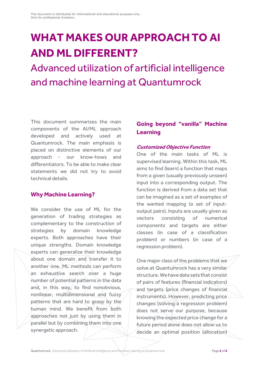# **WHAT MAKES OUR APPROACH TO AI AND ML DIFFERENT?**

Advanced utilization of artificial intelligence and machine learning at Quantumrock

This document summarizes the main components of the AI/ML approach developed and actively used at Quantumrock. The main emphasis is placed on distinctive elements of our approach - our know-hows and differentiators. To be able to make clear statements we did not try to avoid technical details.

#### **Why Machine Learning?**

We consider the use of ML for the generation of trading strategies as complementary to the construction of strategies by domain knowledge experts. Both approaches have their unique strengths. Domain knowledge experts can generalize their knowledge about one domain and transfer it to another one. ML methods can perform an exhaustive search over a huge number of potential patterns in the data and, in this way, to find nonobvious, nonlinear, multidimensional and fuzzy patterns that are hard to grasp by the human mind. We benefit from both approaches not just by using them in parallel but by combining them into one synergetic approach.

## **Going beyond "vanilla" Machine Learning**

#### **Customized Objective Function**

One of the main tasks of ML is supervised learning. Within this task, ML aims to find (learn) a function that maps from a given (usually previously unseen) input into a corresponding output. The function is derived from a data set that can be imagined as a set of examples of the wanted mapping (a set of inputoutput pairs). Inputs are usually given as vectors consisting of numerical components and targets are either classes (in case of a classification problem) or numbers (in case of a regression problem).

One major class of the problems that we solve at Quantumrock has a very similar structure. We have data sets that consist of pairs of features (financial indicators) and targets (price changes of financial instruments). However, predicting price changes (solving a regression problem) does not serve our purpose, because knowing the expected price change for a future period alone does not allow us to decide an optimal position (allocation)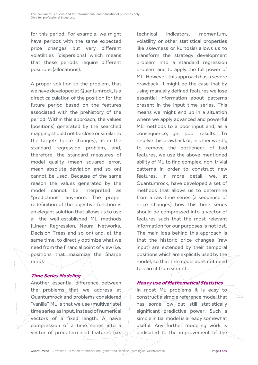for this period. For example, we might have periods with the same expected price changes but very different volatilities (dispersions) which means that these periods require different positions (allocations).

A proper solution to the problem, that we have developed at Quantumrock, is a direct calculation of the position for the future period based on the features associated with the prehistory of the period. Within this approach, the values (positions) generated by the searched mapping should not be close or similar to the targets (price changes), as in the standard regression problem, and, therefore, the standard measures of model quality (mean squared error, mean absolute deviation and so on) cannot be used. Because of the same reason the values generated by the model cannot be interpreted as "predictions" anymore. The proper redefinition of the objective function is an elegant solution that allows us to use all the well-established ML methods (Linear Regression, Neural Networks, Decision Trees and so on) and, at the same time, to directly optimize what we need from the financial point of view (i.e. positions that maximize the Sharpe ratio).

#### **Time Series Modeling**

Another essential difference between the problems that we address at Quantumrock and problems considered "vanilla" ML is that we use (multivariate) time series as input, instead of numerical vectors of a fixed length. A naïve compression of a time series into a vector of predetermined features (i.e.

technical indicators, momentum, volatility or other statistical properties like skewness or kurtosis) allows us to transform the strategy development problem into a standard regression problem and to apply the full power of ML. However, this approach has a severe drawback. It might be the case that by using manually defined features we lose essential information about patterns present in the input time series. This means we might end up in a situation where we apply advanced and powerful ML methods to a poor input and, as a consequence, get poor results. To resolve this drawback or, in other words, to remove the bottleneck of bad features, we use the above-mentioned ability of ML to find complex, non-trivial patterns in order to construct new features. In more detail, we, at Quantumrock, have developed a set of methods that allows us to determine from a raw time series (a sequence of price changes) how this time series should be compressed into a vector of features such that the most relevant information for our purposes is not lost. The main idea behind this approach is that the historic price changes (raw input) are extended by their temporal positions which are explicitly used by the model, so that the model does not need to learn it from scratch.

#### **Heavy use of Mathematical Statistics**

In most ML problems it is easy to construct a simple reference model that has some low but still statistically significant predictive power. Such a simple initial model is already somewhat useful. Any further modeling work is dedicated to the improvement of the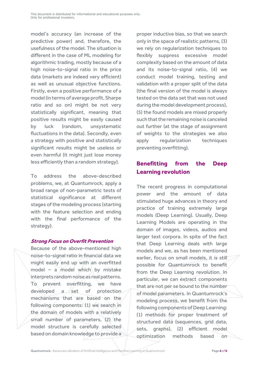model's accuracy (an increase of the predictive power) and, therefore, the usefulness of the model. The situation is different in the case of ML modeling for algorithmic trading, mostly because of a high noise-to-signal ratio in the price data (markets are indeed very efficient) as well as unusual objective functions. Firstly, even a positive performance of a model (in terms of average profit, Sharpe ratio and so on) might be not very statistically significant, meaning that positive results might be easily caused by luck (random, unsystematic fluctuations in the data). Secondly, even a strategy with positive and statistically significant results might be useless or even harmful (it might just lose money less efficiently than a random strategy).

To address the above-described problems, we, at Quantumrock, apply a broad range of non-parametric tests of statistical significance at different stages of the modeling process (starting with the feature selection and ending with the final performance of the strategy).

#### **Strong Focus on Overfit Prevention**

Because of the above-mentioned high noise-to-signal ratio in financial data we might easily end up with an overfitted model – a model which by mistake interprets random noise as real patterns. To prevent overfitting, we have  $d$ eveloped a  $\leq$  set of protection mechanisms that are based on the following components: (1) we search in the domain of models with a relatively small number of parameters,  $(2)/$  the model structure is carefully selected based on domain knowledge to provide a

proper inductive bias, so that we search only in the space of realistic patterns, (3) we rely on regularization techniques to flexibly suppress excessive model complexity based on the amount of data and its noise-to-signal ratio, (4) we conduct model training, testing and validation with a proper split of the data (the final version of the model is always tested on the data set that was not used during the model development process), (5) the found models are mixed properly such that the remaining noise is canceled out further (at the stage of assignment of weights to the strategies we also apply regularization techniques preventing overfitting).

## **Benefitting from the Deep Learning revolution**

The recent progress in computational power and the amount of data stimulated huge advances in theory and practice of training extremely large models (Deep Learning). Usually, Deep Learning Models are operating in the domain of images, videos, audios and larger text corpora. In spite of the fact that Deep Learning deals with large models and we, as has been mentioned earlier, focus on small models, it is still possible for Quantumrock to benefit from the Deep Learning revolution. In particular, we can extract components that are not per se bound to the number of model parameters. In Quantumrock's modeling process, we benefit from the following components of Deep Learning: (1) methods for proper treatment of structured data (sequences, grid data, sets, graphs), (2) efficient model optimization methods based on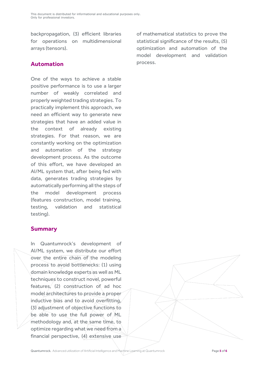backpropagation, (3) efficient libraries for operations on multidimensional arrays (tensors).

### **Automation**

One of the ways to achieve a stable positive performance is to use a larger number of weakly correlated and properly weighted trading strategies. To practically implement this approach, we need an efficient way to generate new strategies that have an added value in the context of already existing strategies. For that reason, we are constantly working on the optimization and automation of the strategy development process. As the outcome of this effort, we have developed an AI/ML system that, after being fed with data, generates trading strategies by automatically performing all the steps of the model development process (features construction, model training, testing, validation and statistical testing).

### **Summary**

In Quantumrock's development of AI/ML system, we distribute our effort over the entire chain of the modeling process to avoid bottlenecks: (1) using domain knowledge experts as well as ML techniques to construct novel, powerful features, (2) construction of ad hoc model architectures to provide a proper inductive bias and to avoid overfitting, (3) adjustment of objective functions to be able to use the full power of ML methodology and, at the same time, to optimize regarding what we need from a financial perspective, (4) extensive use of mathematical statistics to prove the statistical significance of the results, (5) optimization and automation of the model development and validation process.